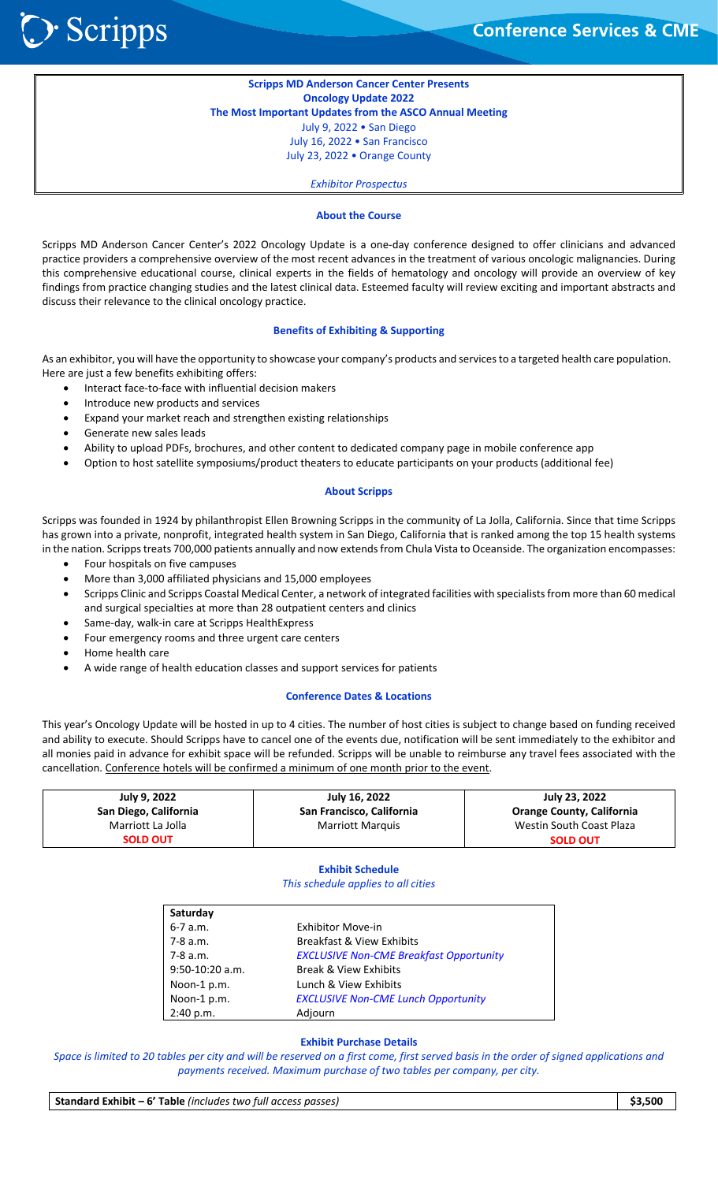**Scripps MD Anderson Cancer Center Presents Oncology Update 2022 The Most Important Updates from the ASCO Annual Meeting**  July 9, 2022 • San Diego July 16, 2022 • San Francisco July 23, 2022 • Orange County

*Exhibitor Prospectus*

# **About the Course**

Scripps MD Anderson Cancer Center's 2022 Oncology Update is a one-day conference designed to offer clinicians and advanced practice providers a comprehensive overview of the most recent advances in the treatment of various oncologic malignancies. During this comprehensive educational course, clinical experts in the fields of hematology and oncology will provide an overview of key findings from practice changing studies and the latest clinical data. Esteemed faculty will review exciting and important abstracts and discuss their relevance to the clinical oncology practice.

## **Benefits of Exhibiting & Supporting**

As an exhibitor, you will have the opportunity to showcase your company's products and services to a targeted health care population. Here are just a few benefits exhibiting offers:

- Interact face‐to‐face with influential decision makers
- Introduce new products and services
- Expand your market reach and strengthen existing relationships
- Generate new sales leads
- Ability to upload PDFs, brochures, and other content to dedicated company page in mobile conference app
- Option to host satellite symposiums/product theaters to educate participants on your products (additional fee)

# **About Scripps**

Scripps was founded in 1924 by philanthropist Ellen Browning Scripps in the community of La Jolla, California. Since that time Scripps has grown into a private, nonprofit, integrated health system in San Diego, California that is ranked among the top 15 health systems in the nation. Scripps treats 700,000 patients annually and now extends from Chula Vista to Oceanside. The organization encompasses:

- Four hospitals on five campuses
- More than 3,000 affiliated physicians and 15,000 employees
- Scripps Clinic and Scripps Coastal Medical Center, a network of integrated facilities with specialists from more than 60 medical and surgical specialties at more than 28 outpatient centers and clinics
- Same‐day, walk‐in care at Scripps HealthExpress
- Four emergency rooms and three urgent care centers
- Home health care
- A wide range of health education classes and support services for patients

# **Conference Dates & Locations**

This year's Oncology Update will be hosted in up to 4 cities. The number of host cities is subject to change based on funding received and ability to execute. Should Scripps have to cancel one of the events due, notification will be sent immediately to the exhibitor and all monies paid in advance for exhibit space will be refunded. Scripps will be unable to reimburse any travel fees associated with the cancellation. Conference hotels will be confirmed a minimum of one month prior to the event.

| July 9, 2022          | July 16, 2022             | July 23, 2022                    |
|-----------------------|---------------------------|----------------------------------|
| San Diego, California | San Francisco, California | <b>Orange County, California</b> |
| Marriott La Jolla     | Marriott Marquis          | Westin South Coast Plaza         |
| <b>SOLD OUT</b>       |                           | <b>SOLD OUT</b>                  |

# **Exhibit Schedule**

# *This schedule applies to all cities*

| Saturday          |                                                |
|-------------------|------------------------------------------------|
| $6 - 7$ a.m.      | <b>Exhibitor Move-in</b>                       |
| 7-8 a.m.          | <b>Breakfast &amp; View Exhibits</b>           |
| 7-8 a.m.          | <b>EXCLUSIVE Non-CME Breakfast Opportunity</b> |
| $9:50-10:20$ a.m. | <b>Break &amp; View Exhibits</b>               |
| Noon-1 p.m.       | Lunch & View Exhibits                          |
| Noon-1 p.m.       | <b>EXCLUSIVE Non-CME Lunch Opportunity</b>     |
| 2:40 p.m.         | Adjourn                                        |

# **Exhibit Purchase Details**

*Space is limited to 20 tables per city and will be reserved on a first come, first served basis in the order of signed applications and payments received. Maximum purchase of two tables per company, per city.* 

**Standard Exhibit – 6' Table** *(includes two full access passes)* **\$3,500**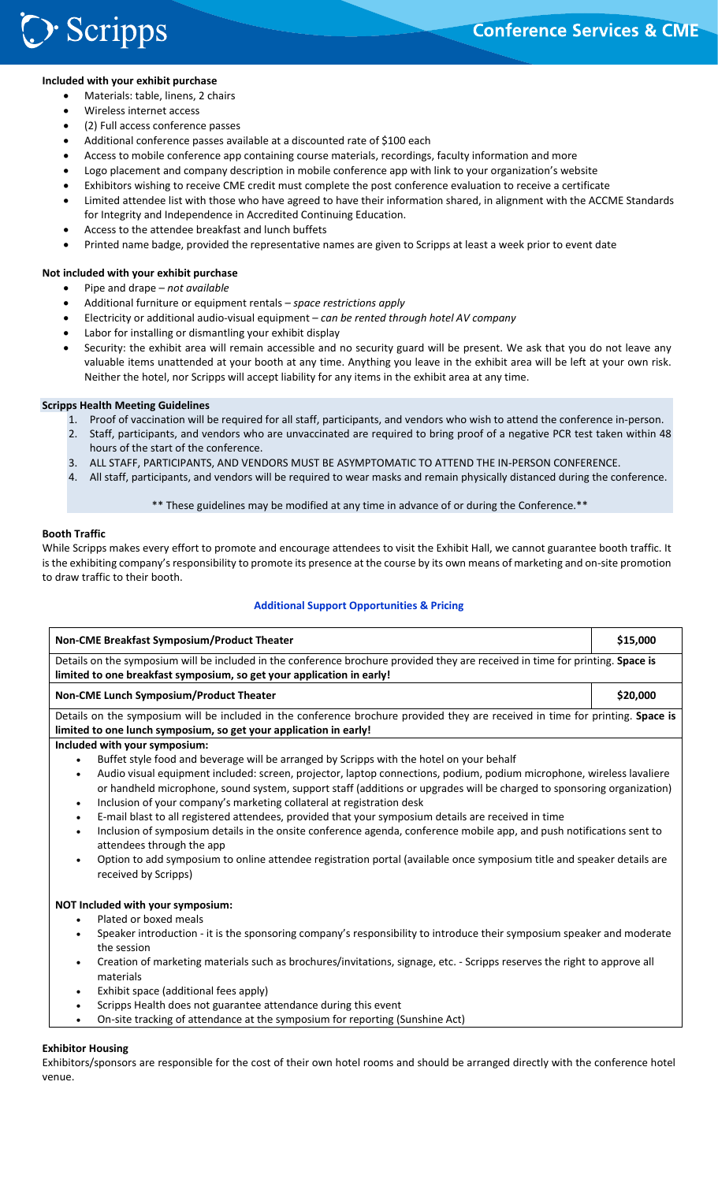# **Included with your exhibit purchase**

- Materials: table, linens, 2 chairs
- Wireless internet access
- (2) Full access conference passes
- Additional conference passes available at a discounted rate of \$100 each
- Access to mobile conference app containing course materials, recordings, faculty information and more
- Logo placement and company description in mobile conference app with link to your organization's website
- Exhibitors wishing to receive CME credit must complete the post conference evaluation to receive a certificate
- Limited attendee list with those who have agreed to have their information shared, in alignment with the ACCME Standards for Integrity and Independence in Accredited Continuing Education.
- Access to the attendee breakfast and lunch buffets
- Printed name badge, provided the representative names are given to Scripps at least a week prior to event date

# **Not included with your exhibit purchase**

- Pipe and drape *not available*
- Additional furniture or equipment rentals *space restrictions apply*
- Electricity or additional audio‐visual equipment *can be rented through hotel AV company*
- Labor for installing or dismantling your exhibit display
- Security: the exhibit area will remain accessible and no security guard will be present. We ask that you do not leave any valuable items unattended at your booth at any time. Anything you leave in the exhibit area will be left at your own risk. Neither the hotel, nor Scripps will accept liability for any items in the exhibit area at any time.

# **Scripps Health Meeting Guidelines**

- 1. Proof of vaccination will be required for all staff, participants, and vendors who wish to attend the conference in‐person.
- 2. Staff, participants, and vendors who are unvaccinated are required to bring proof of a negative PCR test taken within 48 hours of the start of the conference.
- 3. ALL STAFF, PARTICIPANTS, AND VENDORS MUST BE ASYMPTOMATIC TO ATTEND THE IN‐PERSON CONFERENCE.
- 4. All staff, participants, and vendors will be required to wear masks and remain physically distanced during the conference.

# \*\* These guidelines may be modified at any time in advance of or during the Conference.\*\*

# **Booth Traffic**

While Scripps makes every effort to promote and encourage attendees to visit the Exhibit Hall, we cannot guarantee booth traffic. It is the exhibiting company's responsibility to promote its presence at the course by its own means of marketing and on-site promotion to draw traffic to their booth.

# **Additional Support Opportunities & Pricing**

| Non-CME Breakfast Symposium/Product Theater                                                                                                                                                                                                                                                                                                        |          |
|----------------------------------------------------------------------------------------------------------------------------------------------------------------------------------------------------------------------------------------------------------------------------------------------------------------------------------------------------|----------|
| Details on the symposium will be included in the conference brochure provided they are received in time for printing. Space is<br>limited to one breakfast symposium, so get your application in early!                                                                                                                                            |          |
| Non-CME Lunch Symposium/Product Theater                                                                                                                                                                                                                                                                                                            | \$20,000 |
| Details on the symposium will be included in the conference brochure provided they are received in time for printing. Space is<br>limited to one lunch symposium, so get your application in early!                                                                                                                                                |          |
| Included with your symposium:                                                                                                                                                                                                                                                                                                                      |          |
| Buffet style food and beverage will be arranged by Scripps with the hotel on your behalf                                                                                                                                                                                                                                                           |          |
| Audio visual equipment included: screen, projector, laptop connections, podium, podium microphone, wireless lavaliere<br>$\bullet$<br>or handheld microphone, sound system, support staff (additions or upgrades will be charged to sponsoring organization)<br>Inclusion of your company's marketing collateral at registration desk<br>$\bullet$ |          |
| E-mail blast to all registered attendees, provided that your symposium details are received in time<br>$\bullet$                                                                                                                                                                                                                                   |          |
| Inclusion of symposium details in the onsite conference agenda, conference mobile app, and push notifications sent to<br>$\bullet$<br>attendees through the app                                                                                                                                                                                    |          |
| Option to add symposium to online attendee registration portal (available once symposium title and speaker details are<br>received by Scripps)                                                                                                                                                                                                     |          |
| NOT Included with your symposium:                                                                                                                                                                                                                                                                                                                  |          |
| Plated or boxed meals<br>$\bullet$                                                                                                                                                                                                                                                                                                                 |          |
| Speaker introduction - it is the sponsoring company's responsibility to introduce their symposium speaker and moderate<br>$\bullet$<br>the session                                                                                                                                                                                                 |          |
| Creation of marketing materials such as brochures/invitations, signage, etc. - Scripps reserves the right to approve all<br>materials                                                                                                                                                                                                              |          |
| Exhibit space (additional fees apply)<br>$\bullet$                                                                                                                                                                                                                                                                                                 |          |
| Scripps Health does not guarantee attendance during this event<br>$\bullet$                                                                                                                                                                                                                                                                        |          |
| On-site tracking of attendance at the symposium for reporting (Sunshine Act)                                                                                                                                                                                                                                                                       |          |

Exhibitors/sponsors are responsible for the cost of their own hotel rooms and should be arranged directly with the conference hotel venue.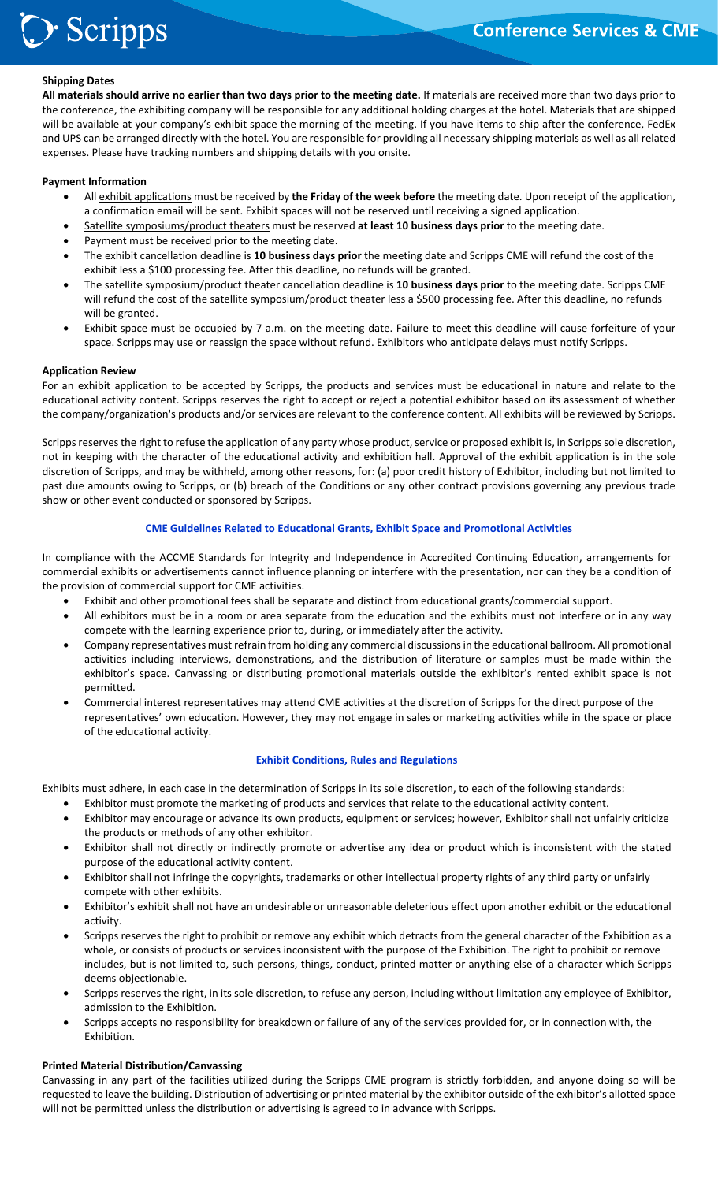# **Shipping Dates**

> Scripps

**All materials should arrive no earlier than two days prior to the meeting date.** If materials are received more than two days prior to the conference, the exhibiting company will be responsible for any additional holding charges at the hotel. Materials that are shipped will be available at your company's exhibit space the morning of the meeting. If you have items to ship after the conference, FedEx and UPS can be arranged directly with the hotel. You are responsible for providing all necessary shipping materials as well as all related expenses. Please have tracking numbers and shipping details with you onsite.

# **Payment Information**

- All exhibit applications must be received by **the Friday of the week before** the meeting date. Upon receipt of the application, a confirmation email will be sent. Exhibit spaces will not be reserved until receiving a signed application.
- Satellite symposiums/product theaters must be reserved **at least 10 business days prior** to the meeting date.
- Payment must be received prior to the meeting date.
- The exhibit cancellation deadline is **10 business days prior** the meeting date and Scripps CME will refund the cost of the exhibit less a \$100 processing fee. After this deadline, no refunds will be granted.
- The satellite symposium/product theater cancellation deadline is **10 business days prior** to the meeting date. Scripps CME will refund the cost of the satellite symposium/product theater less a \$500 processing fee. After this deadline, no refunds will be granted.
- Exhibit space must be occupied by 7 a.m. on the meeting date. Failure to meet this deadline will cause forfeiture of your space. Scripps may use or reassign the space without refund. Exhibitors who anticipate delays must notify Scripps.

#### **Application Review**

For an exhibit application to be accepted by Scripps, the products and services must be educational in nature and relate to the educational activity content. Scripps reserves the right to accept or reject a potential exhibitor based on its assessment of whether the company/organization's products and/or services are relevant to the conference content. All exhibits will be reviewed by Scripps.

Scripps reserves the right to refuse the application of any party whose product, service or proposed exhibit is, in Scripps sole discretion, not in keeping with the character of the educational activity and exhibition hall. Approval of the exhibit application is in the sole discretion of Scripps, and may be withheld, among other reasons, for: (a) poor credit history of Exhibitor, including but not limited to past due amounts owing to Scripps, or (b) breach of the Conditions or any other contract provisions governing any previous trade show or other event conducted or sponsored by Scripps.

# **CME Guidelines Related to Educational Grants, Exhibit Space and Promotional Activities**

In compliance with the ACCME Standards for Integrity and Independence in Accredited Continuing Education, arrangements for commercial exhibits or advertisements cannot influence planning or interfere with the presentation, nor can they be a condition of the provision of commercial support for CME activities.

- Exhibit and other promotional fees shall be separate and distinct from educational grants/commercial support.
- All exhibitors must be in a room or area separate from the education and the exhibits must not interfere or in any way compete with the learning experience prior to, during, or immediately after the activity.
- Company representatives must refrain from holding any commercial discussions in the educational ballroom. All promotional activities including interviews, demonstrations, and the distribution of literature or samples must be made within the exhibitor's space. Canvassing or distributing promotional materials outside the exhibitor's rented exhibit space is not permitted.
- Commercial interest representatives may attend CME activities at the discretion of Scripps for the direct purpose of the representatives' own education. However, they may not engage in sales or marketing activities while in the space or place of the educational activity.

# **Exhibit Conditions, Rules and Regulations**

Exhibits must adhere, in each case in the determination of Scripps in its sole discretion, to each of the following standards:

- Exhibitor must promote the marketing of products and services that relate to the educational activity content.
- Exhibitor may encourage or advance its own products, equipment or services; however, Exhibitor shall not unfairly criticize the products or methods of any other exhibitor.
- Exhibitor shall not directly or indirectly promote or advertise any idea or product which is inconsistent with the stated purpose of the educational activity content.
- Exhibitor shall not infringe the copyrights, trademarks or other intellectual property rights of any third party or unfairly compete with other exhibits.
- Exhibitor's exhibit shall not have an undesirable or unreasonable deleterious effect upon another exhibit or the educational activity.
- Scripps reserves the right to prohibit or remove any exhibit which detracts from the general character of the Exhibition as a whole, or consists of products or services inconsistent with the purpose of the Exhibition. The right to prohibit or remove includes, but is not limited to, such persons, things, conduct, printed matter or anything else of a character which Scripps deems objectionable.
- Scripps reserves the right, in its sole discretion, to refuse any person, including without limitation any employee of Exhibitor, admission to the Exhibition.
- Scripps accepts no responsibility for breakdown or failure of any of the services provided for, or in connection with, the Exhibition.

#### **Printed Material Distribution/Canvassing**

Canvassing in any part of the facilities utilized during the Scripps CME program is strictly forbidden, and anyone doing so will be requested to leave the building. Distribution of advertising or printed material by the exhibitor outside of the exhibitor's allotted space will not be permitted unless the distribution or advertising is agreed to in advance with Scripps.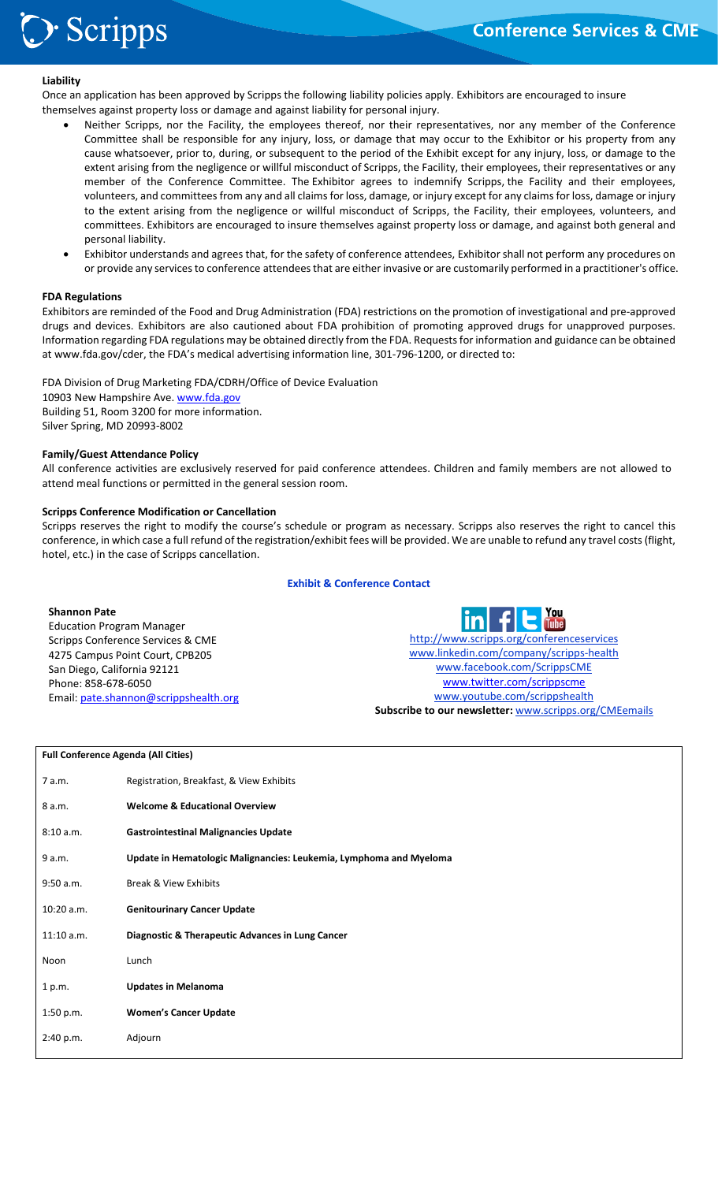# **Liability**

**Scripps** 

Once an application has been approved by Scripps the following liability policies apply. Exhibitors are encouraged to insure themselves against property loss or damage and against liability for personal injury.

- Neither Scripps, nor the Facility, the employees thereof, nor their representatives, nor any member of the Conference Committee shall be responsible for any injury, loss, or damage that may occur to the Exhibitor or his property from any cause whatsoever, prior to, during, or subsequent to the period of the Exhibit except for any injury, loss, or damage to the extent arising from the negligence or willful misconduct of Scripps, the Facility, their employees, their representatives or any member of the Conference Committee. The Exhibitor agrees to indemnify Scripps, the Facility and their employees, volunteers, and committees from any and all claims for loss, damage, or injury except for any claims for loss, damage or injury to the extent arising from the negligence or willful misconduct of Scripps, the Facility, their employees, volunteers, and committees. Exhibitors are encouraged to insure themselves against property loss or damage, and against both general and personal liability.
- Exhibitor understands and agrees that, for the safety of conference attendees, Exhibitor shall not perform any procedures on or provide any services to conference attendees that are either invasive or are customarily performed in a practitioner's office.

# **FDA Regulations**

Exhibitors are reminded of the Food and Drug Administration (FDA) restrictions on the promotion of investigational and pre‐approved drugs and devices. Exhibitors are also cautioned about FDA prohibition of promoting approved drugs for unapproved purposes. Information regarding FDA regulations may be obtained directly from the FDA. Requests for information and guidance can be obtained at www.fda.gov/cder, the FDA's medical advertising information line, 301‐796‐1200, or directed to:

FDA Division of Drug Marketing FDA/CDRH/Office of Device Evaluation 10903 New Hampshire Ave. www.fda.gov Building 51, Room 3200 for more information. Silver Spring, MD 20993‐8002

# **Family/Guest Attendance Policy**

All conference activities are exclusively reserved for paid conference attendees. Children and family members are not allowed to attend meal functions or permitted in the general session room.

#### **Scripps Conference Modification or Cancellation**

Scripps reserves the right to modify the course's schedule or program as necessary. Scripps also reserves the right to cancel this conference, in which case a full refund of the registration/exhibit fees will be provided. We are unable to refund any travel costs (flight, hotel, etc.) in the case of Scripps cancellation.

# **Exhibit & Conference Contact**

# **Shannon Pate**

Education Program Manager Scripps Conference Services & CME 4275 Campus Point Court, CPB205 San Diego, California 92121 Phone: 858‐678‐6050 Email: pate.shannon@scrippshealth.org

 http://www.scripps.org/conferenceservices www.linkedin.com/company/scripps‐health www.facebook.com/ScrippsCME www.twitter.com/scrippscme www.youtube.com/scrippshealth **Subscribe to our newsletter:** www.scripps.org/CMEemails

#### **Full Conference Agenda (All Cities)**

| 7 a.m.       | Registration, Breakfast, & View Exhibits                           |
|--------------|--------------------------------------------------------------------|
| 8 a.m.       | <b>Welcome &amp; Educational Overview</b>                          |
| 8:10 a.m.    | <b>Gastrointestinal Malignancies Update</b>                        |
| 9 a.m.       | Update in Hematologic Malignancies: Leukemia, Lymphoma and Myeloma |
| 9:50 a.m.    | <b>Break &amp; View Exhibits</b>                                   |
| $10:20$ a.m. | <b>Genitourinary Cancer Update</b>                                 |
| 11:10 a.m.   | Diagnostic & Therapeutic Advances in Lung Cancer                   |
| Noon         | Lunch                                                              |
| 1 p.m.       | <b>Updates in Melanoma</b>                                         |
| 1:50 p.m.    | <b>Women's Cancer Update</b>                                       |
| 2:40 p.m.    | Adjourn                                                            |
|              |                                                                    |